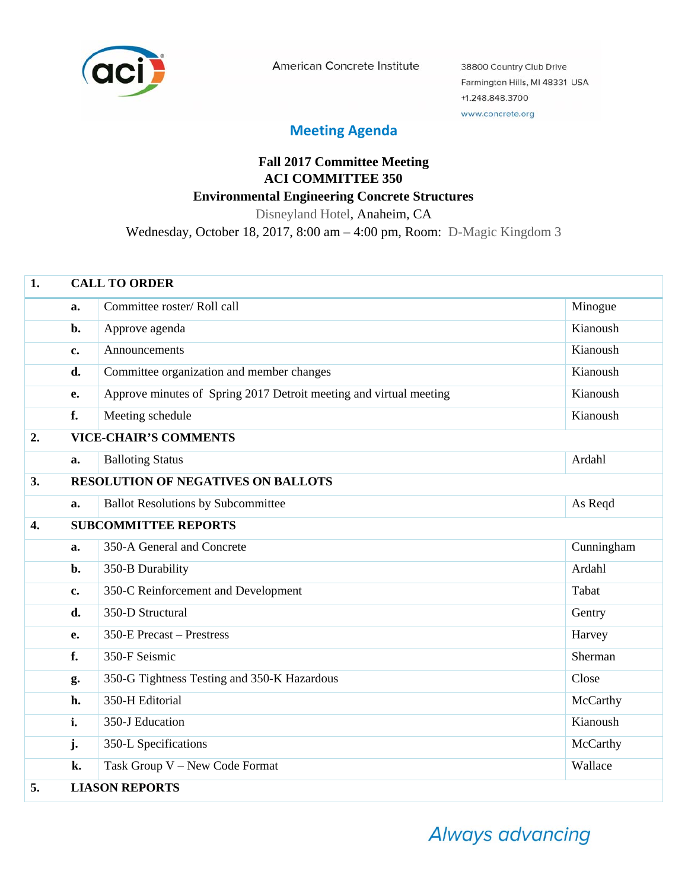

American Concrete Institute

38800 Country Club Drive Farmington Hills, MI 48331 USA +1.248.848.3700 www.concrete.org

## **Meeting Agenda**

## **Fall 2017 Committee Meeting ACI COMMITTEE 350 Environmental Engineering Concrete Structures**

Disneyland Hotel, Anaheim, CA

Wednesday, October 18, 2017, 8:00 am – 4:00 pm, Room: D-Magic Kingdom 3

| 1.               | <b>CALL TO ORDER</b>  |                                                                    |            |  |
|------------------|-----------------------|--------------------------------------------------------------------|------------|--|
|                  | a.                    | Committee roster/Roll call                                         | Minogue    |  |
|                  | b.                    | Approve agenda                                                     | Kianoush   |  |
|                  | c.                    | Announcements                                                      | Kianoush   |  |
|                  | d.                    | Committee organization and member changes                          | Kianoush   |  |
|                  | e.                    | Approve minutes of Spring 2017 Detroit meeting and virtual meeting | Kianoush   |  |
|                  | f.                    | Meeting schedule                                                   | Kianoush   |  |
| 2.               |                       | <b>VICE-CHAIR'S COMMENTS</b>                                       |            |  |
|                  | a.                    | <b>Balloting Status</b>                                            | Ardahl     |  |
| 3.               |                       | <b>RESOLUTION OF NEGATIVES ON BALLOTS</b>                          |            |  |
|                  | a.                    | <b>Ballot Resolutions by Subcommittee</b>                          | As Reqd    |  |
| $\overline{4}$ . |                       | <b>SUBCOMMITTEE REPORTS</b>                                        |            |  |
|                  | a.                    | 350-A General and Concrete                                         | Cunningham |  |
|                  | b.                    | 350-B Durability                                                   | Ardahl     |  |
|                  | $\mathbf{c}$ .        | 350-C Reinforcement and Development                                | Tabat      |  |
|                  | d.                    | 350-D Structural                                                   | Gentry     |  |
|                  | e.                    | 350-E Precast - Prestress                                          | Harvey     |  |
|                  | f.                    | 350-F Seismic                                                      | Sherman    |  |
|                  | g.                    | 350-G Tightness Testing and 350-K Hazardous                        | Close      |  |
|                  | h.                    | 350-H Editorial                                                    | McCarthy   |  |
|                  | i.                    | 350-J Education                                                    | Kianoush   |  |
|                  | j.                    | 350-L Specifications                                               | McCarthy   |  |
|                  | k.                    | Task Group V - New Code Format                                     | Wallace    |  |
| 5.               | <b>LIASON REPORTS</b> |                                                                    |            |  |

Always advancing